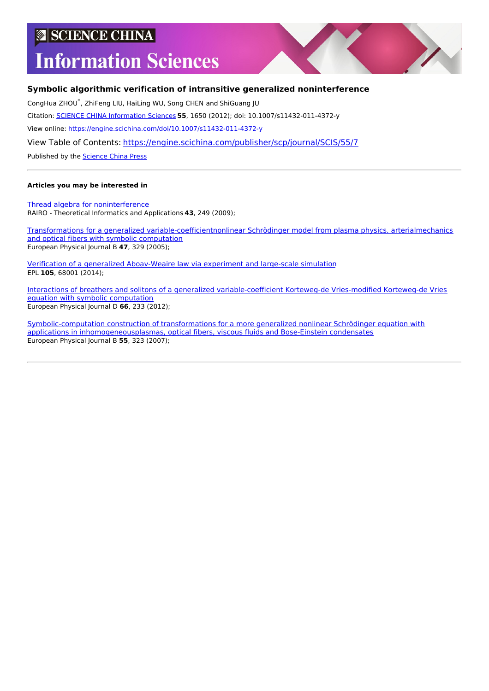# **SCIENCE CHINA**

# **Information Sciences**

### **Symbolic algorithmic verification of intransitive generalized noninterference**

CongHua ZHOU<sup>\*</sup>, ZhiFeng LIU, HaiLing WU, Song CHEN and ShiGuang JU

Citation: SCIENCE CHINA [Information](https://engine.scichina.com/publisher/scp/journal/SCIS) Sciences **55**, 1650 (2012); doi: 10.1007/s11432-011-4372-y

View online: <https://engine.scichina.com/doi/10.1007/s11432-011-4372-y>

View Table of Contents: <https://engine.scichina.com/publisher/scp/journal/SCIS/55/7>

Published by the [Science](https://engine.scichina.com/publisher/scp) China Press

#### **Articles you may be interested in**

Thread algebra for [noninterference](https://engine.scichina.com/doi/10.1051/ita:2008026) RAIRO - Theoretical Informatics and Applications **43**, 249 (2009);

Transformations for a generalized [variable-coefficientnonlinear](https://engine.scichina.com/doi/10.1140/epjb/e2005-00348-3) Schrödinger model from plasma physics, arterialmechanics and optical fibers with symbolic computation European Physical Journal B **47**, 329 (2005);

Verification of a generalized [Aboav-Weaire](https://engine.scichina.com/doi/10.1209/0295-5075/105/68001) law via experiment and large-scale simulation EPL **105**, 68001 (2014);

Interactions of breathers and solitons of a generalized [variable-coefficient](https://engine.scichina.com/doi/10.1140/epjd/e2012-30142-1) Korteweg-de Vries-modified Korteweg-de Vries equation with symbolic computation European Physical Journal D **66**, 233 (2012);

Symbolic-computation construction of transformations for a more generalized nonlinear Schrödinger equation with applications in [inhomogeneousplasmas,](https://engine.scichina.com/doi/10.1140/epjb/e2007-00058-x) optical fibers, viscous fluids and Bose-Einstein condensates European Physical Journal B **55**, 323 (2007);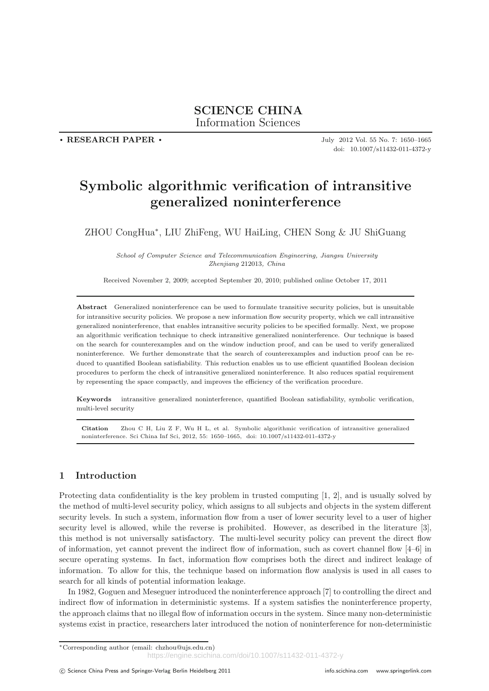**. RESEARCH PAPER .**

July 2012 Vol. 55 No. 7: 1650–1665 doi: 10.1007/s11432-011-4372-y

## **Symbolic algorithmic verification of intransitive generalized noninterference**

ZHOU CongHua<sup>∗</sup>, LIU ZhiFeng, WU HaiLing, CHEN Song & JU ShiGuang

*School of Computer Science and Telecommunication Engineering, Jiangsu University Zhenjiang* 212013*, China*

Received November 2, 2009; accepted September 20, 2010; published online October 17, 2011

**Abstract** Generalized noninterference can be used to formulate transitive security policies, but is unsuitable for intransitive security policies. We propose a new information flow security property, which we call intransitive generalized noninterference, that enables intransitive security policies to be specified formally. Next, we propose an algorithmic verification technique to check intransitive generalized noninterference. Our technique is based on the search for counterexamples and on the window induction proof, and can be used to verify generalized noninterference. We further demonstrate that the search of counterexamples and induction proof can be reduced to quantified Boolean satisfiability. This reduction enables us to use efficient quantified Boolean decision procedures to perform the check of intransitive generalized noninterference. It also reduces spatial requirement by representing the space compactly, and improves the efficiency of the verification procedure.

**Keywords** intransitive generalized noninterference, quantified Boolean satisfiability, symbolic verification, multi-level security

**Citation** Zhou C H, Liu Z F, Wu H L, et al. Symbolic algorithmic verification of intransitive generalized noninterference. Sci China Inf Sci, 2012, 55: 1650–1665, doi: 10.1007/s11432-011-4372-y

#### **1 Introduction**

Protecting data confidentiality is the key problem in trusted computing [1, 2], and is usually solved by the method of multi-level security policy, which assigns to all subjects and objects in the system different security levels. In such a system, information flow from a user of lower security level to a user of higher security level is allowed, while the reverse is prohibited. However, as described in the literature [3], this method is not universally satisfactory. The multi-level security policy can prevent the direct flow of information, yet cannot prevent the indirect flow of information, such as covert channel flow [4–6] in secure operating systems. In fact, information flow comprises both the direct and indirect leakage of information. To allow for this, the technique based on information flow analysis is used in all cases to search for all kinds of potential information leakage.

In 1982, Goguen and Meseguer introduced the noninterference approach [7] to controlling the direct and indirect flow of information in deterministic systems. If a system satisfies the noninterference property, the approach claims that no illegal flow of information occurs in the system. Since many non-deterministic systems exist in practice, researchers later introduced the notion of noninterference for non-deterministic

https://engine.scichina.com/doi/10.1007/s11432-011-4372-y

<sup>∗</sup>Corresponding author (email: chzhou@ujs.edu.cn)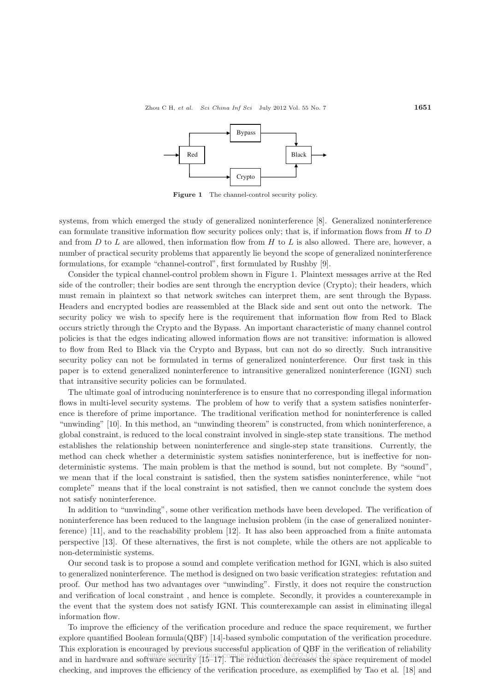

Figure 1 The channel-control security policy.

systems, from which emerged the study of generalized noninterference [8]. Generalized noninterference can formulate transitive information flow security polices only; that is, if information flows from  $H$  to  $D$ and from  $D$  to  $L$  are allowed, then information flow from  $H$  to  $L$  is also allowed. There are, however, a number of practical security problems that apparently lie beyond the scope of generalized noninterference formulations, for example "channel-control", first formulated by Rushby [9].

Consider the typical channel-control problem shown in Figure 1. Plaintext messages arrive at the Red side of the controller; their bodies are sent through the encryption device (Crypto); their headers, which must remain in plaintext so that network switches can interpret them, are sent through the Bypass. Headers and encrypted bodies are reassembled at the Black side and sent out onto the network. The security policy we wish to specify here is the requirement that information flow from Red to Black occurs strictly through the Crypto and the Bypass. An important characteristic of many channel control policies is that the edges indicating allowed information flows are not transitive: information is allowed to flow from Red to Black via the Crypto and Bypass, but can not do so directly. Such intransitive security policy can not be formulated in terms of generalized noninterference. Our first task in this paper is to extend generalized noninterference to intransitive generalized noninterference (IGNI) such that intransitive security policies can be formulated.

The ultimate goal of introducing noninterference is to ensure that no corresponding illegal information flows in multi-level security systems. The problem of how to verify that a system satisfies noninterference is therefore of prime importance. The traditional verification method for noninterference is called "unwinding" [10]. In this method, an "unwinding theorem" is constructed, from which noninterference, a global constraint, is reduced to the local constraint involved in single-step state transitions. The method establishes the relationship between noninterference and single-step state transitions. Currently, the method can check whether a deterministic system satisfies noninterference, but is ineffective for nondeterministic systems. The main problem is that the method is sound, but not complete. By "sound", we mean that if the local constraint is satisfied, then the system satisfies noninterference, while "not complete" means that if the local constraint is not satisfied, then we cannot conclude the system does not satisfy noninterference.

In addition to "unwinding", some other verification methods have been developed. The verification of noninterference has been reduced to the language inclusion problem (in the case of generalized noninterference) [11], and to the reachability problem [12]. It has also been approached from a finite automata perspective [13]. Of these alternatives, the first is not complete, while the others are not applicable to non-deterministic systems.

Our second task is to propose a sound and complete verification method for IGNI, which is also suited to generalized noninterference. The method is designed on two basic verification strategies: refutation and proof. Our method has two advantages over "unwinding". Firstly, it does not require the construction and verification of local constraint , and hence is complete. Secondly, it provides a counterexample in the event that the system does not satisfy IGNI. This counterexample can assist in eliminating illegal information flow.

To improve the efficiency of the verification procedure and reduce the space requirement, we further explore quantified Boolean formula(QBF) [14]-based symbolic computation of the verification procedure. This exploration is encouraged by previous successful application of QBF in the verification of reliability and in hardware and software security [15–17]. The reduction decreases the space requirement of model checking, and improves the efficiency of the verification procedure, as exemplified by Tao et al. [18] and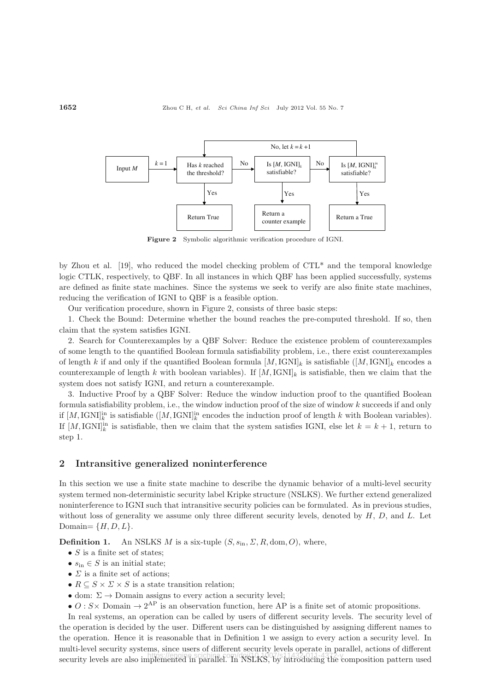

**Figure 2** Symbolic algorithmic verification procedure of IGNI.

by Zhou et al. [19], who reduced the model checking problem of CTL\* and the temporal knowledge logic CTLK, respectively, to QBF. In all instances in which QBF has been applied successfully, systems are defined as finite state machines. Since the systems we seek to verify are also finite state machines, reducing the verification of IGNI to QBF is a feasible option.

Our verification procedure, shown in Figure 2, consists of three basic steps:

1. Check the Bound: Determine whether the bound reaches the pre-computed threshold. If so, then claim that the system satisfies IGNI.

2. Search for Counterexamples by a QBF Solver: Reduce the existence problem of counterexamples of some length to the quantified Boolean formula satisfiability problem, i.e., there exist counterexamples of length k if and only if the quantified Boolean formula  $[M,\mathrm{IGNI}]_k$  is satisfiable  $([M,\mathrm{IGNI}]_k$  encodes a counterexample of length k with boolean variables). If  $[M, \text{IGNI}]_k$  is satisfiable, then we claim that the system does not satisfy IGNI, and return a counterexample.

3. Inductive Proof by a QBF Solver: Reduce the window induction proof to the quantified Boolean formula satisfiability problem, i.e., the window induction proof of the size of window k succeeds if and only if  $[M, \text{IGNI}]_k^{\text{in}}$  is satisfiable  $([M, \text{IGNI}]_k^{\text{in}}$  encodes the induction proof of length k with Boolean variables). If  $[M,\mathrm{IGNI}]_k^{\text{in}}$  is satisfiable, then we claim that the system satisfies IGNI, else let  $k = k + 1$ , return to step 1.

#### **2 Intransitive generalized noninterference**

In this section we use a finite state machine to describe the dynamic behavior of a multi-level security system termed non-deterministic security label Kripke structure (NSLKS). We further extend generalized noninterference to IGNI such that intransitive security policies can be formulated. As in previous studies, without loss of generality we assume only three different security levels, denoted by  $H$ ,  $D$ , and  $L$ . Let Domain=  $\{H, D, L\}$ .

**Definition 1.** An NSLKS M is a six-tuple  $(S, s_{\text{in}}, \Sigma, R, \text{dom}, O)$ , where,

- $S$  is a finite set of states;
- $s_{\text{in}} \in S$  is an initial state;
- *Σ* is a finite set of actions;
- $R \subseteq S \times \Sigma \times S$  is a state transition relation;
- dom:  $\Sigma \rightarrow$  Domain assigns to every action a security level;
- $O: S \times$  Domain  $\rightarrow 2^{AP}$  is an observation function, here AP is a finite set of atomic propositions.

In real systems, an operation can be called by users of different security levels. The security level of the operation is decided by the user. Different users can be distinguished by assigning different names to the operation. Hence it is reasonable that in Definition 1 we assign to every action a security level. In multi-level security systems, since users of different security levels operate in parallel, actions of different security levels are also implemented in parallel. In NSLKS, by introducing the composition pattern used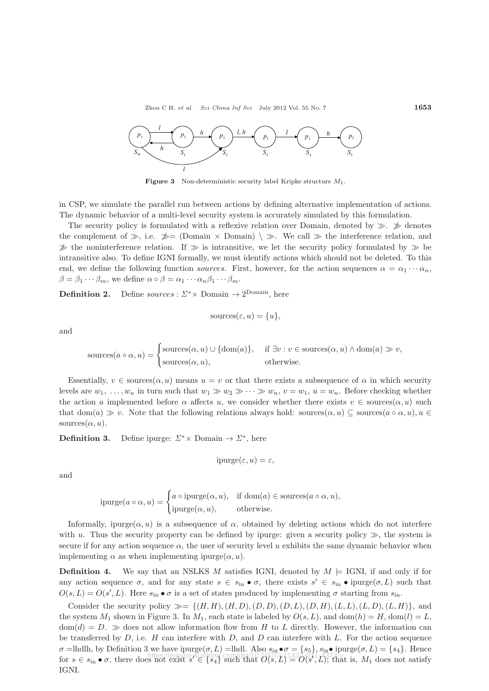

**Figure 3** Non-deterministic security label Kripke structure *M*1.

in CSP, we simulate the parallel run between actions by defining alternative implementation of actions. The dynamic behavior of a multi-level security system is accurately simulated by this formulation.

The security policy is formulated with a reflexive relation over Domain, denoted by  $\gg$ .  $\gg$  denotes the complement of  $\gg$ , i.e.  $\gg$  (Domain  $\times$  Domain)  $\searrow$ . We call  $\gg$  the interference relation, and  $\gg$  the noninterference relation. If  $\gg$  is intransitive, we let the security policy formulated by  $\gg$  be intransitive also. To define IGNI formally, we must identify actions which should not be deleted. To this end, we define the following function *sources*. First, however, for the action sequences  $\alpha = \alpha_1 \cdots \alpha_n$ ,  $\beta = \beta_1 \cdots \beta_m$ , we define  $\alpha \circ \beta = \alpha_1 \cdots \alpha_n \beta_1 \cdots \beta_m$ .

**Definition 2.** Define sources :  $\mathcal{L}^* \times \text{Domain} \rightarrow 2^{\text{Domain}}$ , here

$$
sources(\varepsilon, u) = \{u\},\
$$

and

$$
sources(a \circ \alpha, u) = \begin{cases} sources(\alpha, u) \cup \{dom(a)\}, & \text{if } \exists v : v \in sources(\alpha, u) \land dom(a) \gg v, \\ sources(\alpha, u), & \text{otherwise.} \end{cases}
$$

Essentially,  $v \in \text{sources}(\alpha, u)$  means  $u = v$  or that there exists a subsequence of  $\alpha$  in which security levels are  $w_1, \ldots, w_n$  in turn such that  $w_1 \gg w_2 \gg \cdots \gg w_n$ ,  $v = w_1$ ,  $u = w_n$ . Before checking whether the action a implemented before  $\alpha$  affects u, we consider whether there exists  $v \in \text{sources}(\alpha, u)$  such that dom(a)  $\gg v$ . Note that the following relations always hold: sources( $\alpha, u$ ) ⊆ sources( $a \circ \alpha, u$ ),  $u \in$ sources $(\alpha, u)$ .

**Definition 3.** Define ipurge:  $\mathbb{Z}^* \times \text{Domain} \to \mathbb{Z}^*$ , here

$$
ipurge(\varepsilon, u) = \varepsilon,
$$

and

$$
ipurge(a \circ \alpha, u) = \begin{cases} a \circ ipurge(\alpha, u), & \text{if dom}(a) \in sources(a \circ \alpha, u), \\ ipurge(\alpha, u), & \text{otherwise.} \end{cases}
$$

Informally, ipurge $(\alpha, u)$  is a subsequence of  $\alpha$ , obtained by deleting actions which do not interfere with u. Thus the security property can be defined by ipurge: given a security policy  $\gg$ , the system is secure if for any action sequence  $\alpha$ , the user of security level u exhibits the same dynamic behavior when implementing  $\alpha$  as when implementing ipurge $(\alpha, u)$ .

**Definition 4.** We say that an NSLKS M satisfies IGNI, denoted by  $M \models$  IGNI, if and only if for any action sequence  $\sigma$ , and for any state  $s \in s_{\rm in} \bullet \sigma$ , there exists  $s' \in s_{\rm in} \bullet \text{ipurge}(\sigma, L)$  such that  $O(s, L) = O(s', L)$ . Here  $s_{\text{in}} \bullet \sigma$  is a set of states produced by implementing  $\sigma$  starting from  $s_{\text{in}}$ .

Consider the security policy  $\gg = \{(H, H), (H, D), (D, D), (D, L), (D, H), (L, L), (L, D), (L, H)\}\,$ , and the system  $M_1$  shown in Figure 3. In  $M_1$ , each state is labeled by  $O(s, L)$ , and dom $(h) = H$ , dom $(l) = L$ ,  $dom(d) = D$ .  $\gg$  does not allow information flow from H to L directly. However, the information can be transferred by  $D$ , i.e.  $H$  can interfere with  $D$ , and  $D$  can interfere with  $L$ . For the action sequence  $\sigma =$ hdlh, by Definition 3 we have ipurge $(\sigma, L) =$ hdl. Also  $s_{\rm in} \bullet \sigma = \{s_5\}$ ,  $s_{\rm in} \bullet$  ipurge $(\sigma, L) = \{s_4\}$ . Hence for  $s \in s_{\text{in}} \bullet \sigma$ , there does not exist  $s' \in \{s_4\}$  such that  $\mathcal{O}(s,L) = \mathcal{O}(s',L)$ ; that is,  $M_1$  does not satisfy IGNI.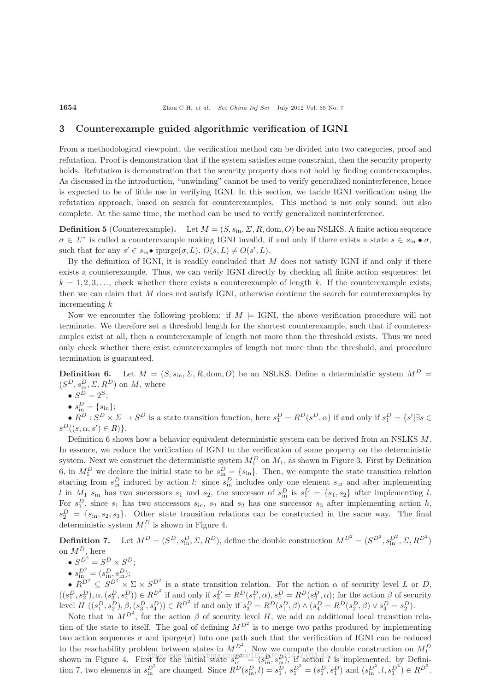#### **1654** Zhou C H, *et al. Sci China Inf Sci* July 2012 Vol. 55 No. 7

#### **3 Counterexample guided algorithmic verification of IGNI**

From a methodological viewpoint, the verification method can be divided into two categories, proof and refutation. Proof is demonstration that if the system satisfies some constraint, then the security property holds. Refutation is demonstration that the security property does not hold by finding counterexamples. As discussed in the introduction, "unwinding" cannot be used to verify generalized noninterference, hence is expected to be of little use in verifying IGNI. In this section, we tackle IGNI verification using the refutation approach, based on search for counterexamples. This method is not only sound, but also complete. At the same time, the method can be used to verify generalized noninterference.

**Definition 5** (Counterexample). Let  $M = (S, s_{\text{in}}, \Sigma, R, \text{dom}, O)$  be an NSLKS. A finite action sequence  $\sigma \in \Sigma^*$  is called a counterexample making IGNI invalid, if and only if there exists a state  $s \in s_{\text{in}} \bullet \sigma$ , such that for any  $s' \in s_{\text{in}} \bullet \text{ ipurge}(\sigma, L), O(s, L) \neq O(s', L).$ 

By the definition of IGNI, it is readily concluded that  $M$  does not satisfy IGNI if and only if there exists a counterexample. Thus, we can verify IGNI directly by checking all finite action sequences: let  $k = 1, 2, 3, \ldots$ , check whether there exists a counterexample of length k. If the counterexample exists, then we can claim that M does not satisfy IGNI, otherwise continue the search for counterexamples by incrementing k

Now we encounter the following problem: if  $M \models$  IGNI, the above verification procedure will not terminate. We therefore set a threshold length for the shortest counterexample, such that if counterexamples exist at all, then a counterexample of length not more than the threshold exists. Thus we need only check whether there exist counterexamples of length not more than the threshold, and procedure termination is guaranteed.

**Definition 6.** Let  $M = (S, s_{\text{in}}, \Sigma, R, \text{dom}, O)$  be an NSLKS. Define a deterministic system  $M^D =$  $(S^D, s^D_{\text{in}}, \Sigma, R^D)$  on  $M$ , where

- $S^D = 2^S$ ;
- $s_{\text{in}}^D = \{s_{\text{in}}\};$

•  $R^D : S^D \times \Sigma \to S^D$  is a state transition function, here  $s_1^D = R^D(s^D, \alpha)$  if and only if  $s_1^D = \{s' | \exists s \in \mathbb{R} \mid s \leq s' \}$  $s^D((s, \alpha, s') \in R)$ .

Definition 6 shows how a behavior equivalent deterministic system can be derived from an NSLKS M. In essence, we reduce the verification of IGNI to the verification of some property on the deterministic system. Next we construct the deterministic system  $M_1^D$  on  $M_1$ , as shown in Figure 3. First by Definition 6, in  $M_1^D$  we declare the initial state to be  $s_{\text{in}}^D = \{s_{\text{in}}\}$ . Then, we compute the state transition relation starting from  $s_{\text{in}}^D$  induced by action *l*: since  $s_{\text{in}}^D$  includes only one element  $s_{\text{in}}$  and after implementing l in  $M_1$   $s_{\text{in}}$  has two successors  $s_1$  and  $s_2$ , the successor of  $s_{\text{in}}^D$  is  $s_1^D = \{s_1, s_2\}$  after implementing l. For  $s_1^D$ , since  $s_1$  has two successors  $s_{\rm in}$ ,  $s_2$  and  $s_2$  has one successor  $s_3$  after implementing action h,  $s_2^D = \{s_{\text{in}}, s_2, s_3\}$ . Other state transition relations can be constructed in the same way. The final deterministic system  $M_1^D$  is shown in Figure 4.

**Definition 7.** Let  $M^D = (S^D, s_{\text{in}}^D, \Sigma, R^D)$ , define the double construction  $M^{D^2} = (S^{D^2}, s_{\text{in}}^{D^2}, \Sigma, R^{D^2})$ on M*<sup>D</sup>*, here

- $S^{D^2} = S^D \times S^D$ ;
- $s_{\text{in}}^{D^2} = (s_{\text{in}}^D, s_{\text{in}}^D);$

•  $R^{D^2} \subseteq S^{D^2} \times \Sigma \times S^{D^2}$  is a state transition relation. For the action  $\alpha$  of security level L or D,  $((s_1^D, s_2^D), \alpha, (s_3^D, s_4^D)) \in R^{D^2}$  if and only if  $s_3^D = R^D(s_1^D, \alpha), s_4^D = R^D(s_2^D, \alpha)$ ; for the action  $\beta$  of security level  $H((s_1^D, s_2^D), \beta, (s_3^D, s_4^D)) \in R^{D^2}$  if and only if  $s_3^D = R^D(s_1^D, \beta) \wedge (s_4^D = R^D(s_2^D, \beta) \vee s_4^D = s_2^D$ .

Note that in  $M^{D^2}$ , for the action  $\beta$  of security level H, we add an additional local transition relation of the state to itself. The goal of defining  $M^{D^2}$  is to merge two paths produced by implementing two action sequences  $\sigma$  and ipurge( $\sigma$ ) into one path such that the verification of IGNI can be reduced to the reachability problem between states in  $M^{D^2}$ . Now we compute the double construction on  $M_1^D$ <br>shown in Figure 4. First for the initial state  $s_{\text{in}}^{\text{only20}/10}$ ,  $s_{\text{in}}^{\text{by7}/p}$ , if action  $l$  is implement tion 7, two elements in  $s_{\text{in}}^{D^2}$  are changed. Since  $R^D(s_{\text{in}}^D, l) = s_1^D, s_1^{D^2} = (s_1^D, s_1^D)$  and  $(s_{\text{in}}^{D^2}, l, s_1^{D^2}) \in R^{D^2}$ . https://engine.scichina.com/doi/10.1007/s11432-011-4372-y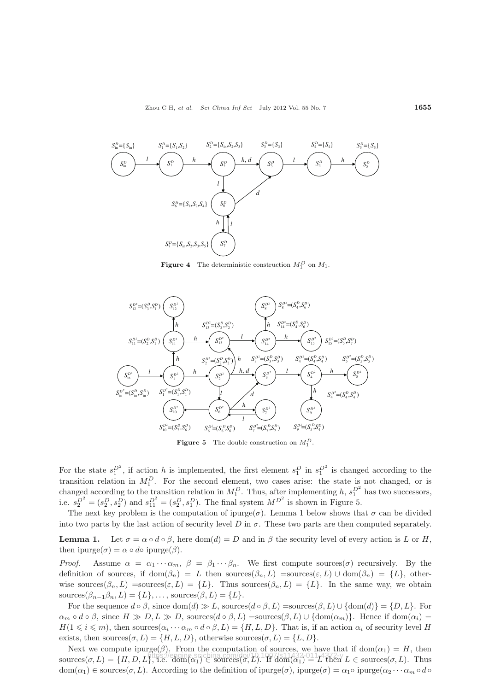

**Figure 4** The deterministic construction  $M_1^D$  on  $M_1$ .



**Figure 5** The double construction on  $M_1^D$ .

For the state  $s_1^{D^2}$ , if action h is implemented, the first element  $s_1^D$  in  $s_1^{D^2}$  is changed according to the transition relation in  $M_1^D$ . For the second element, two cases arise: the state is not changed, or is changed according to the transition relation in  $M_1^D$ . Thus, after implementing h,  $s_1^{D^2}$  has two successors, i.e.  $s_2^{D^2} = (s_2^D, s_2^D)$  and  $s_{11}^{D^2} = (s_2^D, s_1^D)$ . The final system  $M^{D^2}$  is shown in Figure 5.

The next key problem is the computation of ipurge( $\sigma$ ). Lemma 1 below shows that  $\sigma$  can be divided into two parts by the last action of security level D in  $\sigma$ . These two parts are then computed separately.

**Lemma 1.** Let  $\sigma = \alpha \circ d \circ \beta$ , here dom(d) = D and in  $\beta$  the security level of every action is L or H, then ipurge( $\sigma$ ) =  $\alpha \circ d \circ$  ipurge( $\beta$ ).

*Proof.* Assume  $\alpha = \alpha_1 \cdots \alpha_m$ ,  $\beta = \beta_1 \cdots \beta_n$ . We first compute sources( $\sigma$ ) recursively. By the definition of sources, if  $dom(\beta_n) = L$  then sources $(\beta_n, L)$  =sources $(\varepsilon, L) \cup dom(\beta_n) = \{L\}$ , otherwise sources $(\beta_n, L)$  =sources $(\varepsilon, L) = \{L\}$ . Thus sources $(\beta_n, L) = \{L\}$ . In the same way, we obtain sources( $\beta_{n-1}\beta_n, L$ ) = {L},..., sources( $\beta, L$ ) = {L}.

For the sequence  $d \circ \beta$ , since  $\text{dom}(d) \gg L$ , sources $(d \circ \beta, L)$  =sources $(\beta, L) \cup \{\text{dom}(d)\} = \{D, L\}$ . For  $\alpha_m \circ d \circ \beta$ , since  $H \gg D, L \gg D$ , sources $(d \circ \beta, L)$  =sources $(\beta, L) \cup {\text{dom}(\alpha_m)}$ . Hence if dom $(\alpha_i)$  =  $H(1 \leq i \leq m)$ , then sources $(\alpha_i \cdots \alpha_m \circ d \circ \beta, L) = \{H, L, D\}$ . That is, if an action  $\alpha_i$  of security level H exists, then sources $(\sigma, L) = \{H, L, D\}$ , otherwise sources $(\sigma, L) = \{L, D\}$ .

Next we compute ipurge( $\beta$ ). From the computation of sources, we have that if  $dom(\alpha_1) = H$ , then  $\text{sources}(\sigma, L) = \{H, D, L\}$ , i.e. dom $(\alpha_1) \in \text{sources}(\sigma, L)$ . If  $\text{dom}(\alpha_1) = L^4$ ,  $L \in \text{sources}(\sigma, L)$ . Thus  $dom(\alpha_1) \in sources(\sigma, L)$ . According to the definition of ipurge( $\sigma$ ), ipurge( $\sigma$ ) =  $\alpha_1 \circ$  ipurge( $\alpha_2 \cdots \alpha_m \circ d \circ$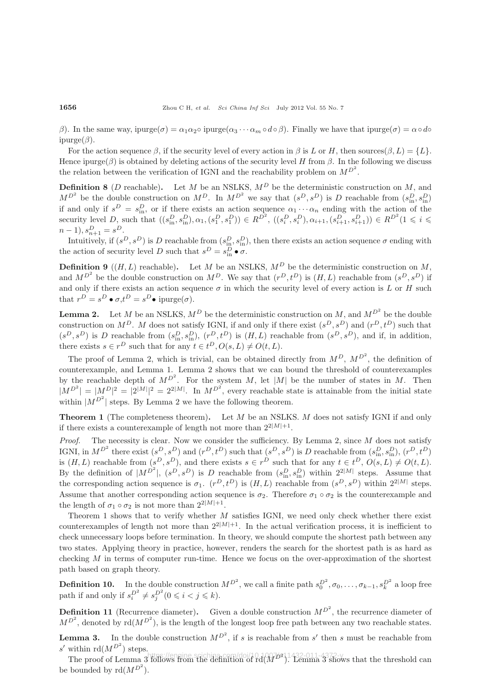β). In the same way, ipurge( $\sigma$ ) =  $\alpha_1 \alpha_2 \circ$  ipurge( $\alpha_3 \cdots \alpha_m \circ d \circ \beta$ ). Finally we have that ipurge( $\sigma$ ) =  $\alpha \circ d \circ$ ipurge( $\beta$ ).

For the action sequence  $\beta$ , if the security level of every action in  $\beta$  is L or H, then sources( $\beta$ , L) = {L}. Hence ipurge( $\beta$ ) is obtained by deleting actions of the security level H from  $\beta$ . In the following we discuss the relation between the verification of IGNI and the reachability problem on  $M^{D^2}$ .

**Definition 8** (D reachable). Let M be an NSLKS,  $M<sup>D</sup>$  be the deterministic construction on M, and  $M^{D^2}$  be the double construction on  $M^D$ . In  $M^{D^2}$  we say that  $(s^D, s^D)$  is D reachable from  $(s^D_{\text{in}}, s^D_{\text{in}})$ if and only if  $s^D = s_{\text{in}}^D$ , or if there exists an action sequence  $\alpha_1 \cdots \alpha_n$  ending with the action of the security level D, such that  $((s_{\text{in}}^D, s_{\text{in}}^D), \alpha_1, (s_1^D, s_1^D)) \in R^{D^2}$ ,  $((s_i^D, s_i^D), \alpha_{i+1}, (s_{i+1}^D, s_{i+1}^D)) \in R^{D^2}$  $(1 \leq i \leq n)$  $n-1, s_{n+1}^D = s^D.$ 

Intuitively, if  $(s^D, s^D)$  is D reachable from  $(s_{\text{in}}^D, s_{\text{in}}^D)$ , then there exists an action sequence  $\sigma$  ending with the action of security level D such that  $s^D = s_{\text{in}}^D \bullet \sigma$ .

**Definition 9** ( $(H, L)$  reachable). Let M be an NSLKS,  $M^D$  be the deterministic construction on M, and  $M^{D^2}$  be the double construction on  $M^D$ . We say that  $(r^D, t^D)$  is  $(H, L)$  reachable from  $(s^D, s^D)$  if and only if there exists an action sequence  $\sigma$  in which the security level of every action is L or H such that  $r^D = s^D \bullet \sigma, t^D = s^D \bullet \text{ipurge}(\sigma)$ .

**Lemma 2.** Let M be an NSLKS,  $M^D$  be the deterministic construction on M, and  $M^{D^2}$  be the double construction on  $M^D$ . M does not satisfy IGNI, if and only if there exist  $(s^D, s^D)$  and  $(r^D, t^D)$  such that  $(s^D, s^D)$  is D reachable from  $(s_{\text{in}}^D, s_{\text{in}}^D)$ ,  $(r^D, t^D)$  is  $(H, L)$  reachable from  $(s^D, s^D)$ , and if, in addition, there exists  $s \in r^D$  such that for any  $t \in t^D$ ,  $O(s, L) \neq O(t, L)$ .

The proof of Lemma 2, which is trivial, can be obtained directly from  $M^D$ ,  $M^{D^2}$ , the definition of counterexample, and Lemma 1. Lemma 2 shows that we can bound the threshold of counterexamples by the reachable depth of  $M^{D^2}$ . For the system M, let |M| be the number of states in M. Then  $|M^{D^2}| = |M^D|^2 = |2^{|M|}|^2 = 2^{|M|}$ . In  $M^{D^2}$ , every reachable state is attainable from the initial state within  $|M^{D^2}|$  steps. By Lemma 2 we have the following theorem.

**Theorem 1** (The completeness theorem). Let M be an NSLKS. M does not satisfy IGNI if and only if there exists a counterexample of length not more than  $2^{2|M|+1}$ .

Proof. The necessity is clear. Now we consider the sufficiency. By Lemma 2, since M does not satisfy IGNI, in  $M^{D^2}$  there exist  $(s^D, s^D)$  and  $(r^D, t^D)$  such that  $(s^D, s^D)$  is D reachable from  $(s^D_{\text{in}}, s^D_{\text{in}})$ ,  $(r^D, t^D)$ is  $(H, L)$  reachable from  $(s^D, s^D)$ , and there exists  $s \in r^D$  such that for any  $t \in t^D$ ,  $O(s, L) \neq O(t, L)$ . By the definition of  $|M^{D^2}|$ ,  $(s^D, s^D)$  is D reachable from  $(s_{\text{in}}^D, s_{\text{in}}^D)$  within  $2^{2|M|}$  steps. Assume that the corresponding action sequence is  $\sigma_1$ .  $(r^D, t^D)$  is  $(H, L)$  reachable from  $(s^D, s^D)$  within  $2^{2|M|}$  steps. Assume that another corresponding action sequence is  $\sigma_2$ . Therefore  $\sigma_1 \circ \sigma_2$  is the counterexample and the length of  $\sigma_1 \circ \sigma_2$  is not more than  $2^{2|M|+1}$ .

Theorem 1 shows that to verify whether  $M$  satisfies IGNI, we need only check whether there exist counterexamples of length not more than  $2^{2|M|+1}$ . In the actual verification process, it is inefficient to check unnecessary loops before termination. In theory, we should compute the shortest path between any two states. Applying theory in practice, however, renders the search for the shortest path is as hard as checking  $M$  in terms of computer run-time. Hence we focus on the over-approximation of the shortest path based on graph theory.

**Definition 10.** In the double construction  $M^{D^2}$ , we call a finite path  $s_0^{D^2}, \sigma_0, \ldots, \sigma_{k-1}, s_k^{D^2}$  a loop free path if and only if  $s_i^{D^2} \neq s_j^{D^2} (0 \leq i \leq j \leq k)$ .

**Definition 11** (Recurrence diameter). Given a double construction  $M^{D^2}$ , the recurrence diameter of  $M^{D^2}$ , denoted by rd $(M^{D^2})$ , is the length of the longest loop free path between any two reachable states.

**Lemma 3.** In the double construction  $M^{D^2}$ , if s is reachable from s' then s must be reachable from s' within  $\text{rd}(M^{D^2})$  steps.

The proof of Lemma 3 follows from the definition of  $rd(M^{D2})$ . Lemma 3 shows that the threshold can be bounded by  $\text{rd}(M^{D^2})$ .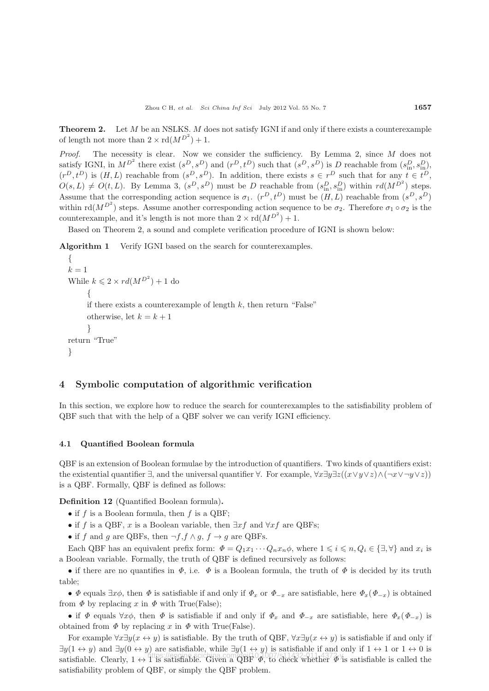**Theorem 2.** Let M be an NSLKS. M does not satisfy IGNI if and only if there exists a counterexample of length not more than  $2 \times \text{rd}(M^{D^2}) + 1$ .

*Proof.* The necessity is clear. Now we consider the sufficiency. By Lemma 2, since M does not satisfy IGNI, in  $M^{D^2}$  there exist  $(s^D, s^D)$  and  $(r^D, t^D)$  such that  $(s^D, s^D)$  is D reachable from  $(s^D_{\text{in}}, s^D_{\text{in}})$ ,  $(r^D, t^D)$  is  $(H, L)$  reachable from  $(s^D, s^D)$ . In addition, there exists  $s \in r^D$  such that for any  $t \in t^D$ ,  $O(s, L) \neq O(t, L)$ . By Lemma 3,  $(s^D, s^D)$  must be D reachable from  $(s_{\text{in}}^D, s_{\text{in}}^D)$  within  $rd(M^{D^2})$  steps. Assume that the corresponding action sequence is  $\sigma_1$ .  $(r^D, t^D)$  must be  $(H, L)$  reachable from  $(s^D, s^D)$ within  $\text{rd}(M^{D^2})$  steps. Assume another corresponding action sequence to be  $\sigma_2$ . Therefore  $\sigma_1 \circ \sigma_2$  is the counterexample, and it's length is not more than  $2 \times \text{rd}(M^{D^2}) + 1$ .

Based on Theorem 2, a sound and complete verification procedure of IGNI is shown below:

**Algorithm 1** Verify IGNI based on the search for counterexamples.

```
{
k = 1While k \leqslant 2 \times rd(M^{D^2}) + 1 do
      {
     if there exists a counterexample of length k, then return "False"
     otherwise, let k = k + 1}
return "True"
}
```
#### **4 Symbolic computation of algorithmic verification**

In this section, we explore how to reduce the search for counterexamples to the satisfiability problem of QBF such that with the help of a QBF solver we can verify IGNI efficiency.

#### **4.1 Quantified Boolean formula**

QBF is an extension of Boolean formulae by the introduction of quantifiers. Two kinds of quantifiers exist: the existential quantifier  $\exists$ , and the universal quantifier  $\forall$ . For example,  $\forall x \exists y \exists z((x \lor y \lor z) \land (\neg x \lor \neg y \lor z))$ is a QBF. Formally, QBF is defined as follows:

**Definition 12** (Quantified Boolean formula)**.**

- if f is a Boolean formula, then f is a QBF;
- if f is a QBF, x is a Boolean variable, then  $\exists x f$  and  $\forall x f$  are QBFs;
- if f and g are QBFs, then  $\neg f, f \wedge g, f \rightarrow g$  are QBFs.

Each QBF has an equivalent prefix form:  $\Phi = Q_1 x_1 \cdots Q_n x_n \phi$ , where  $1 \leq i \leq n, Q_i \in \{\exists, \forall\}$  and  $x_i$  is a Boolean variable. Formally, the truth of QBF is defined recursively as follows:

• if there are no quantifies in *Φ*, i.e. *Φ* is a Boolean formula, the truth of *Φ* is decided by its truth table;

•  $\Phi$  equals  $\exists x \phi$ , then  $\Phi$  is satisfiable if and only if  $\Phi_x$  or  $\Phi_{-x}$  are satisfiable, here  $\Phi_x(\Phi_{-x})$  is obtained from  $\Phi$  by replacing x in  $\Phi$  with True(False);

• if  $\Phi$  equals  $\forall x \phi$ , then  $\Phi$  is satisfiable if and only if  $\Phi_x$  and  $\Phi_{-x}$  are satisfiable, here  $\Phi_x(\Phi_{-x})$  is obtained from  $\Phi$  by replacing x in  $\Phi$  with True(False).

For example  $\forall x \exists y (x \leftrightarrow y)$  is satisfiable. By the truth of QBF,  $\forall x \exists y (x \leftrightarrow y)$  is satisfiable if and only if  $\exists y(1 \leftrightarrow y)$  and  $\exists y(0 \leftrightarrow y)$  are satisfiable, while  $\exists y(1 \leftrightarrow y)$  is satisfiable if and only if  $1 \leftrightarrow 1$  or  $1 \leftrightarrow 0$  is satisfiable. Clearly,  $1 \leftrightarrow 1$  is satisfiable. Given a  $\widehat{QBF} \Phi$ , to check whether  $\Phi$  is satisfiable is called the satisfiability problem of QBF, or simply the QBF problem.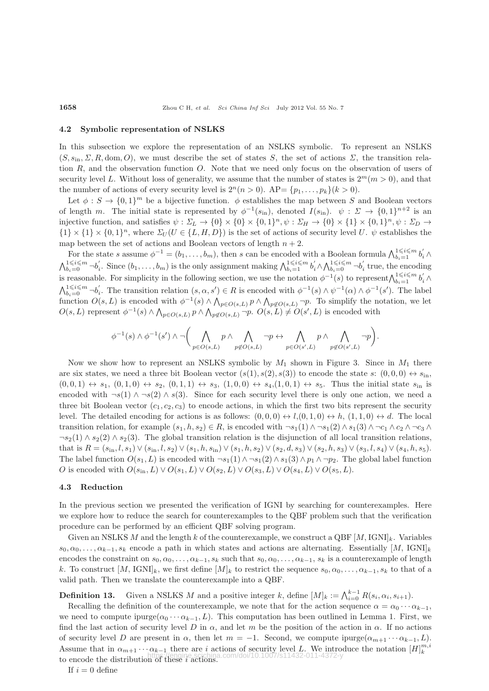#### **4.2 Symbolic representation of NSLKS**

In this subsection we explore the representation of an NSLKS symbolic. To represent an NSLKS  $(S, s_{\text{in}}, \Sigma, R, \text{dom}, O)$ , we must describe the set of states S, the set of actions  $\Sigma$ , the transition relation  $R$ , and the observation function  $O$ . Note that we need only focus on the observation of users of security level L. Without loss of generality, we assume that the number of states is  $2^m(m > 0)$ , and that the number of actions of every security level is  $2^n(n > 0)$ . AP=  $\{p_1, \ldots, p_k\}(k > 0)$ .

Let  $\phi: S \to \{0,1\}^m$  be a bijective function.  $\phi$  establishes the map between S and Boolean vectors of length m. The initial state is represented by  $\phi^{-1}(s_{\rm in})$ , denoted  $I(s_{\rm in})$ .  $\psi : \Sigma \to \{0,1\}^{n+2}$  is an injective function, and satisfies  $\psi : \Sigma_L \to \{0\} \times \{0, 1\}^n$ ,  $\psi : \Sigma_H \to \{0\} \times \{1\} \times \{0, 1\}^n$ ,  $\psi : \Sigma_D \to$  ${1} \times {1} \times {0, 1}^n$ , where  $\Sigma_U(U \in {L, H, D}$  is the set of actions of security level U.  $\psi$  establishes the map between the set of actions and Boolean vectors of length  $n + 2$ .

For the state s assume  $\phi^{-1} = (b_1, \ldots, b_m)$ , then s can be encoded with a Boolean formula  $\bigwedge_{b_i=1}^{1 \leq i \leq m} b'_i \wedge$  $\bigwedge_{b_i=0}^{1 \leq i \leq m} \neg b'_i$ . Since  $(b_1, \ldots, b_m)$  is the only assignment making  $\bigwedge_{b_i=1}^{1 \leq i \leq m} b'_i \wedge \bigwedge_{b_i=0}^{1 \leq i \leq m} \neg b'_i$  true, the encoding is reasonable. For simplicity in the following section, we use the notation  $\phi^{-1}(s)$  to represent  $\bigwedge_{b_i=1}^{1 \leq i \leq m} b'_i \wedge$  $\bigwedge_{b_i=0}^{1\leqslant i\leqslant m} \neg b'_i$ . The transition relation  $(s, \alpha, s') \in R$  is encoded with  $\phi^{-1}(s) \wedge \psi^{-1}(\alpha) \wedge \phi^{-1}(s')$ . The label function  $O(s, L)$  is encoded with  $\phi^{-1}(s) \wedge \bigwedge_{p \in O(s, L)} p \wedge \bigwedge_{p \notin O(s, L)} \neg p$ . To simplify the notation, we let  $O(s, L)$  represent  $\phi^{-1}(s) \wedge \bigwedge_{p \in O(s, L)} p \wedge \bigwedge_{p \notin O(s, L)} \neg p$ .  $O(s, L) \neq O(s', L)$  is encoded with

$$
\phi^{-1}(s) \wedge \phi^{-1}(s') \wedge \neg \left( \bigwedge_{p \in O(s,L)} p \wedge \bigwedge_{p \not\in O(s,L)} \neg p \leftrightarrow \bigwedge_{p \in O(s',L)} p \wedge \bigwedge_{p \not\in O(s',L)} \neg p \right).
$$

Now we show how to represent an NSLKS symbolic by  $M_1$  shown in Figure 3. Since in  $M_1$  there are six states, we need a three bit Boolean vector  $(s(1), s(2), s(3))$  to encode the state s:  $(0, 0, 0) \leftrightarrow s_{\text{in}}$ ,  $(0,0,1) \leftrightarrow s_1$ ,  $(0,1,0) \leftrightarrow s_2$ ,  $(0,1,1) \leftrightarrow s_3$ ,  $(1,0,0) \leftrightarrow s_4$ ,  $(1,0,1) \leftrightarrow s_5$ . Thus the initial state  $s_{\rm in}$  is encoded with  $\neg s(1) \land \neg s(2) \land s(3)$ . Since for each security level there is only one action, we need a three bit Boolean vector  $(c_1, c_2, c_3)$  to encode actions, in which the first two bits represent the security level. The detailed encoding for actions is as follows:  $(0,0,0) \leftrightarrow l$ , $(0,1,0) \leftrightarrow h$ ,  $(1,1,0) \leftrightarrow d$ . The local transition relation, for example  $(s_1, h, s_2) \in R$ , is encoded with  $\neg s_1(1) \land \neg s_1(2) \land s_1(3) \land \neg c_1 \land c_2 \land \neg c_3 \land \neg c_4$  $\neg s_2(1) \wedge s_2(2) \wedge s_2(3)$ . The global transition relation is the disjunction of all local transition relations, that is  $R = (s_{\text{in}},l,s_1) \vee (s_{\text{in}},l,s_2) \vee (s_1,h,s_{\text{in}}) \vee (s_1,h,s_2) \vee (s_2,d,s_3) \vee (s_2,h,s_3) \vee (s_3,l,s_4) \vee (s_4,h,s_5).$ The label function  $O(s_1, L)$  is encoded with  $\neg s_1(1) \wedge \neg s_1(2) \wedge s_1(3) \wedge p_1 \wedge \neg p_2$ . The global label function O is encoded with  $O(s_{\text{in}}, L) \vee O(s_1, L) \vee O(s_2, L) \vee O(s_3, L) \vee O(s_4, L) \vee O(s_5, L)$ .

#### **4.3 Reduction**

In the previous section we presented the verification of IGNI by searching for counterexamples. Here we explore how to reduce the search for counterexamples to the QBF problem such that the verification procedure can be performed by an efficient QBF solving program.

Given an NSLKS M and the length k of the counterexample, we construct a QBF [M, IGNI]*k*. Variables  $s_0, \alpha_0, \ldots, \alpha_{k-1}, s_k$  encode a path in which states and actions are alternating. Essentially [M, IGNI]<sub>k</sub> encodes the constraint on  $s_0, \alpha_0, \ldots, \alpha_{k-1}, s_k$  such that  $s_0, \alpha_0, \ldots, \alpha_{k-1}, s_k$  is a counterexample of length k. To construct  $[M, \text{IGNI}]_k$ , we first define  $[M]_k$  to restrict the sequence  $s_0, \alpha_0, \ldots, \alpha_{k-1}, s_k$  to that of a valid path. Then we translate the counterexample into a QBF.

**Definition 13.** Given a NSLKS M and a positive integer k, define  $[M]_k := \bigwedge_{i=0}^{k-1} R(s_i, \alpha_i, s_{i+1}).$ 

Recalling the definition of the counterexample, we note that for the action sequence  $\alpha = \alpha_0 \cdots \alpha_{k-1}$ , we need to compute ipurge $(\alpha_0 \cdots \alpha_{k-1}, L)$ . This computation has been outlined in Lemma 1. First, we find the last action of security level D in  $\alpha$ , and let m be the position of the action in  $\alpha$ . If no actions of security level D are present in  $\alpha$ , then let  $m = -1$ . Second, we compute ipurge $(\alpha_{m+1} \cdots \alpha_{k-1}, L)$ . Assume that in  $\alpha_{m+1} \cdots \alpha_{k-1}$  there are *i* actions of security level L. We introduce the notation  $[H]_k^{m,i}$  to encode the distribution of these *i* actions.

If  $i = 0$  define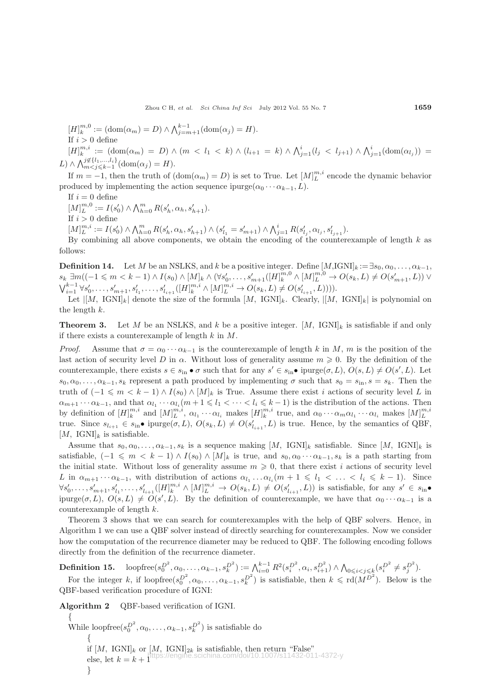Zhou C H, *et al. Sci China Inf Sci* July 2012 Vol. 55 No. 7 **1659**

 $[H]_k^{m,0} := (\text{dom}(\alpha_m) = D) \wedge \bigwedge_{j=m+1}^{k-1} (\text{dom}(\alpha_j) = H).$ If  $i > 0$  define  $[H]_k^{m,i} := (\text{dom}(\alpha_m) = D) \wedge (m < l_1 < k) \wedge (l_{i+1} = k) \wedge \bigwedge_{j=1}^{i} (l_j < l_{j+1}) \wedge \bigwedge_{j=1}^{i} (\text{dom}(\alpha_{l_j})) =$  $L) \wedge \bigwedge_{m < j \leq k-1}^{j \notin \{l_1, ..., l_i\}} (\text{dom}(\alpha_j) = H).$ 

If  $m = -1$ , then the truth of  $(\text{dom}(\alpha_m) = D)$  is set to True. Let  $[M]_L^{m,i}$  encode the dynamic behavior produced by implementing the action sequence ipurge $(\alpha_0 \cdots \alpha_{k-1}, L)$ .

If  $i = 0$  define

 $[M]_L^{m,0} := I(s'_0) \wedge \bigwedge_{h=0}^m R(s'_h, \alpha_h, s'_{h+1}).$ If  $i > 0$  define

 $[M]_L^{m,i} := I(s'_0) \wedge \bigwedge_{h=0}^m R(s'_h, \alpha_h, s'_{h+1}) \wedge (s'_{l_1} = s'_{m+1}) \wedge \bigwedge_{j=1}^i R(s'_{l_j}, \alpha_{l_j}, s'_{l_{j+1}}).$ 

By combining all above components, we obtain the encoding of the counterexample of length  $k$  as follows:

**Definition 14.** Let M be an NSLKS, and k be a positive integer. Define  $[M,\text{IGNI}]_k := \exists s_0, \alpha_0, \ldots, \alpha_{k-1}$ ,  $s_k \ \exists m((-1 \leqslant m < k-1) \land I(s_0) \land [M]_k \land (\forall s'_0, \ldots, s'_{m+1}([H]_k^{m,0} \land [M]_L^{m,0} \to O(s_k, L) \neq O(s'_{m+1}, L)) \lor$  $\bigvee_{i=1}^{k-1} \forall s'_0, \ldots, s'_{m+1}, s'_{l_1}, \ldots, s'_{l_{i+1}}([H]_k^{m,i} \wedge [M]_L^{m,i} \to O(s_k, L) \neq O(s'_{l_{i+1}}, L)))).$ 

Let  $\|[M, \text{ IGNI}]_k\|$  denote the size of the formula  $[M, \text{ IGNI}]_k$ . Clearly,  $\|[M, \text{ IGNI}]_k\|$  is polynomial on the length k.

**Theorem 3.** Let M be an NSLKS, and k be a positive integer.  $[M, \text{ IGNI}]_k$  is satisfiable if and only if there exists a counterexample of length  $k$  in  $M$ .

*Proof.* Assume that  $\sigma = \alpha_0 \cdots \alpha_{k-1}$  is the counterexample of length k in M, m is the position of the last action of security level D in  $\alpha$ . Without loss of generality assume  $m \geqslant 0$ . By the definition of the counterexample, there exists  $s \in s_{\text{in}} \bullet \sigma$  such that for any  $s' \in s_{\text{in}} \bullet$  ipurge $(\sigma, L)$ ,  $O(s, L) \neq O(s', L)$ . Let  $s_0, \alpha_0, \ldots, \alpha_{k-1}, s_k$  represent a path produced by implementing  $\sigma$  such that  $s_0 = s_{\text{in}}, s = s_k$ . Then the truth of  $(-1 \leq m < k - 1) \wedge I(s_0) \wedge [M]_k$  is True. Assume there exist i actions of security level L in  $\alpha_{m+1} \cdots \alpha_{k-1}$ , and that  $\alpha_{l_1} \cdots \alpha_{l_i} (m+1 \leq l_1 < \cdots < l_i \leq k-1)$  is the distribution of the actions. Then by definition of  $[H]_k^{m,i}$  and  $[M]_L^{m,i}$ ,  $\alpha_{l_1} \cdots \alpha_{l_i}$  makes  $[H]_k^{m,i}$  true, and  $\alpha_0 \cdots \alpha_m \alpha_{l_1} \cdots \alpha_{l_i}$  makes  $[M]_L^{m,i}$ <br>true. Since  $s_{l_{i+1}} \in s_{\text{in}} \bullet$  ipurge $(\sigma, L)$ ,  $O(s_k, L) \neq O(s'_{l_{i+1}}, L)$  is true. Hen [ $M$ , IGNI]<sub>k</sub> is satisfiable.

Assume that  $s_0, \alpha_0, \ldots, \alpha_{k-1}, s_k$  is a sequence making  $[M, \text{ IGNI}]_k$  satisfiable. Since  $[M, \text{ IGNI}]_k$  is satisfiable,  $(-1 \leq m \leq k - 1) \wedge I(s_0) \wedge [M]_k$  is true, and  $s_0, \alpha_0 \cdots \alpha_{k-1}, s_k$  is a path starting from the initial state. Without loss of generality assume  $m \geqslant 0$ , that there exist i actions of security level L in  $\alpha_{m+1} \cdots \alpha_{k-1}$ , with distribution of actions  $\alpha_{l_1} \ldots \alpha_{l_i} (m+1 \leq l_1 \leq \ldots \leq l_i \leq k-1)$ . Since  $\forall s'_0, \ldots, s'_{m+1}, s'_{l_1}, \ldots, s'_{l_{i+1}}([H]_k^{m,i} \wedge [M]_L^{m,i} \to O(s_k, L) \neq O(s'_{l_{i+1}}, L)$  is satisfiable, for any  $s' \in s_{\text{in}}$ ipurge( $\sigma$ , L),  $O(s, L) \neq O(s', L)$ . By the definition of counterexample, we have that  $\alpha_0 \cdots \alpha_{k-1}$  is a counterexample of length k.

Theorem 3 shows that we can search for counterexamples with the help of QBF solvers. Hence, in Algorithm 1 we can use a QBF solver instead of directly searching for counterexamples. Now we consider how the computation of the recurrence diameter may be reduced to QBF. The following encoding follows directly from the definition of the recurrence diameter.

**Definition 15.** loopfree $(s_0^{D^2}, \alpha_0, \ldots, \alpha_{k-1}, s_k^{D^2}) := \bigwedge_{i=0}^{k-1} R^2(s_i^{D^2}, \alpha_i, s_{i+1}^{D^2}) \wedge \bigwedge_{0 \leq i < j \leq k} (s_i^{D^2} \neq s_j^{D^2}).$ For the integer k, if loopfree $(s_0^{D^2}, \alpha_0, \ldots, \alpha_{k-1}, s_k^{D^2})$  is satisfiable, then  $k \leq \text{rd}(M^{D^2})$ . Below is the

QBF-based verification procedure of IGNI:

**Algorithm 2** QBF-based verification of IGNI.

{

```
While \text{loopfree}(s_0^{D^2}, \alpha_0, \ldots, \alpha_{k-1}, s_k^{D^2}) is satisfiable do
       {
       if [M, \text{ IGNI}]_k or [M, \text{ IGNI}]_{2k} is satisfiable, then return "False"
       else, let k = k + 1<sup>https://engine.scichina.com/doi/10.1007/s11432-011-4372-y</sup>
       }
```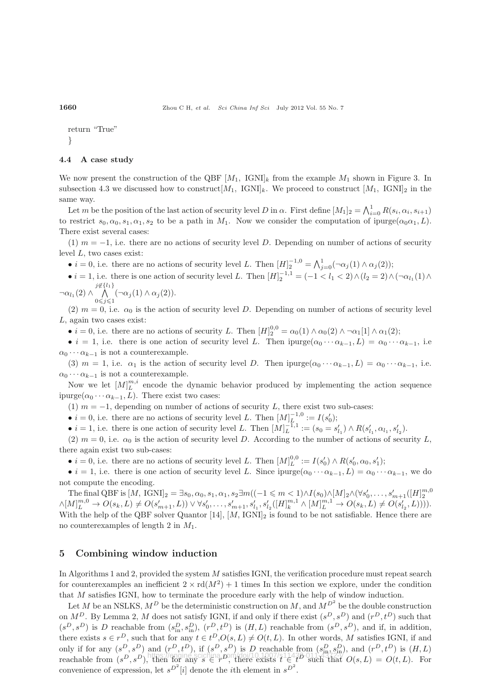**1660** Zhou C H, *et al. Sci China Inf Sci* July 2012 Vol. 55 No. 7

return "True" }

#### **4.4 A case study**

We now present the construction of the QBF  $[M_1, \text{ IGNI}]_k$  from the example  $M_1$  shown in Figure 3. In subsection 4.3 we discussed how to construct  $[M_1, \text{ IGNI}]_k$ . We proceed to construct  $[M_1, \text{ IGNI}]_2$  in the same way.

Let m be the position of the last action of security level D in  $\alpha$ . First define  $[M_1]_2 = \bigwedge_{i=0}^1 R(s_i, \alpha_i, s_{i+1})$ to restrict  $s_0, \alpha_0, s_1, \alpha_1, s_2$  to be a path in  $M_1$ . Now we consider the computation of ipurge( $\alpha_0 \alpha_1, L$ ). There exist several cases:

(1)  $m = -1$ , i.e. there are no actions of security level D. Depending on number of actions of security level  $L$ , two cases exist:

•  $i = 0$ , i.e. there are no actions of security level L. Then  $[H]_2^{-1,0} = \bigwedge_{j=0}^1 (\neg \alpha_j(1) \wedge \alpha_j(2));$ 

•  $i = 1$ , i.e. there is one action of security level L. Then  $[H]_2^{-1,1} = (-1 \lt l_1 \lt 2) \wedge (l_2 = 2) \wedge (\neg \alpha_{l_1}(1) \wedge$ *l*1}

 $\neg \alpha_{l_1}(2) \wedge \bigwedge^{j \notin \{n\}}$ Λ  $\bigwedge_{0\leq j\leqslant 1}(\neg\alpha_j(1)\wedge\alpha_j(2)).$ 

(2)  $m = 0$ , i.e.  $\alpha_0$  is the action of security level D. Depending on number of actions of security level L, again two cases exist:

•  $i = 0$ , i.e. there are no actions of security L. Then  $[H]_2^{0,0} = \alpha_0(1) \wedge \alpha_0(2) \wedge \neg \alpha_1[1] \wedge \alpha_1(2);$ 

•  $i = 1$ , i.e. there is one action of security level L. Then ipurge $(\alpha_0 \cdots \alpha_{k-1}, L) = \alpha_0 \cdots \alpha_{k-1}$ , i.e.  $\alpha_0 \cdots \alpha_{k-1}$  is not a counterexample.

(3)  $m = 1$ , i.e.  $\alpha_1$  is the action of security level D. Then ipurge $(\alpha_0 \cdots \alpha_{k-1}, L) = \alpha_0 \cdots \alpha_{k-1}$ , i.e.  $\alpha_0 \cdots \alpha_{k-1}$  is not a counterexample.

Now we let  $[M]_L^{m,i}$  encode the dynamic behavior produced by implementing the action sequence ipurge $(\alpha_0 \cdots \alpha_{k-1}, L)$ . There exist two cases:

(1)  $m = -1$ , depending on number of actions of security L, there exist two sub-cases:

•  $i = 0$ , i.e. there are no actions of security level L. Then  $[M]_{L}^{-1,0} := I(s'_0);$ 

•  $i = 1$ , i.e. there is one action of security level L. Then  $[M]_L^{-1,1} := (s_0 = s'_{l_1}) \wedge R(s'_{l_1}, \alpha_{l_1}, s'_{l_2}).$ 

(2)  $m = 0$ , i.e.  $\alpha_0$  is the action of security level D. According to the number of actions of security L, there again exist two sub-cases:

•  $i = 0$ , i.e. there are no actions of security level L. Then  $[M]_L^{0,0} := I(s'_0) \wedge R(s'_0, \alpha_0, s'_1)$ ;

•  $i = 1$ , i.e. there is one action of security level L. Since ipurge $(\alpha_0 \cdots \alpha_{k-1}, L) = \alpha_0 \cdots \alpha_{k-1}$ , we do not compute the encoding.

The final QBF is  $[M, \text{ IGNI}]_2 = \exists s_0, \alpha_0, s_1, \alpha_1, s_2 \exists m ((-1 \leq m < 1) \wedge I(s_0) \wedge [M]_2 \wedge (\forall s'_0, \dots, s'_{m+1}([H]_2^{m,0}) \wedge [M]_2)$  $\wedge [M]_{L}^{m,0} \to O(s_k, L) \neq O(s'_{m+1}, L)) \vee \forall s'_0, \ldots, s'_{m+1}, s'_{l_1}, s'_{l_2}([H]_{k}^{m,1} \wedge [M]_{L}^{m,1} \to O(s_k, L) \neq O(s'_{l_2}, L)))).$ With the help of the QBF solver Quantor  $[14]$ ,  $[M, \text{IGNI}]_2$  is found to be not satisfiable. Hence there are no counterexamples of length 2 in  $M_1$ .

#### **5 Combining window induction**

In Algorithms 1 and 2, provided the system M satisfies IGNI, the verification procedure must repeat search for counterexamples an inefficient  $2 \times \text{rd}(M^2) + 1$  times In this section we explore, under the condition that M satisfies IGNI, how to terminate the procedure early with the help of window induction.

Let M be an NSLKS,  $M^D$  be the deterministic construction on M, and  $M^{D^2}$  be the double construction on  $M^D$ . By Lemma 2, M does not satisfy IGNI, if and only if there exist  $(s^D, s^D)$  and  $(r^D, t^D)$  such that  $(s^D, s^D)$  is D reachable from  $(s_{\text{in}}^D, s_{\text{in}}^D)$ ,  $(r^D, t^D)$  is  $(H, L)$  reachable from  $(s^D, s^D)$ , and if, in addition, there exists  $s \in r^D$ , such that for any  $t \in t^D$ , $O(s, L) \neq O(t, L)$ . In other words, M satisfies IGNI, if and only if for any  $(s^D, s^D)$  and  $(r^D, t^D)$ , if  $(s^D, s^D)$  is D reachable from  $(s^D_{in}, s^D_{in})$ , and  $(r^D, t^D)$  is  $(H, L)$ reachable from  $(s^D, s^D)$ , then for any  $s \in r^D$ , there exists  $t \in t^D$  such that  $O(s, L) = O(t, L)$ . For convenience of expression, let  $s^{D^2}[i]$  denote the *i*th element in  $s^{D^2}$ .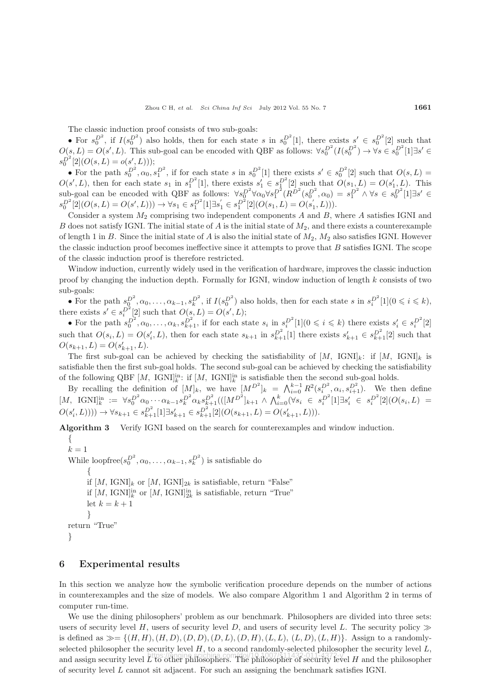The classic induction proof consists of two sub-goals:

• For  $s_0^{D^2}$ , if  $I(s_0^{D^2})$  also holds, then for each state s in  $s_0^{D^2}[1]$ , there exists  $s' \in s_0^{D^2}[2]$  such that  $O(s, L) = O(s', L)$ . This sub-goal can be encoded with QBF as follows:  $\forall s_0^{D^2}(I(s_0^{D^2}) \rightarrow \forall s \in s_0^{D^2}[1] \exists s' \in \mathbb{R}$  $s_0^{D^2}[2](O(s,L) = o(s',L))$ ;

• For the path  $s_0^{D^2}$ ,  $\alpha_0$ ,  $s_1^{D^2}$ , if for each state s in  $s_0^{D^2}[1]$  there exists  $s' \in s_0^{D^2}[2]$  such that  $O(s, L)$  $O(s', L)$ , then for each state  $s_1$  in  $s_1^{D^2}[1]$ , there exists  $s'_1 \in s_1^{D^2}[2]$  such that  $O(s_1, L) = O(s'_1, L)$ . This  $\text{sub-goal can be encoded with QBF as follows: } \forall s_0^{D^2} \forall \alpha_0 \forall s_1^{D^2} (R^{D^2}(s_0^{D^2}, \alpha_0) = s_1^{D^2} \land \forall s \in s_0^{D^2}[1] \exists s' \in \mathbb{R}$  $s_0^{D^2}[2](O(s,L) = O(s',L))) \rightarrow \forall s_1 \in s_1^{D^2}[1] \exists s_1' \in s_1^{D^2}[2](O(s_1,L) = O(s_1',L))).$ 

Consider a system  $M_2$  comprising two independent components  $A$  and  $B$ , where  $A$  satisfies IGNI and B does not satisfy IGNI. The initial state of  $A$  is the initial state of  $M_2$ , and there exists a counterexample of length 1 in B. Since the initial state of A is also the initial state of  $M_2$ ,  $M_2$  also satisfies IGNI. However the classic induction proof becomes ineffective since it attempts to prove that  $B$  satisfies IGNI. The scope of the classic induction proof is therefore restricted.

Window induction, currently widely used in the verification of hardware, improves the classic induction proof by changing the induction depth. Formally for IGNI, window induction of length  $k$  consists of two sub-goals:

• For the path  $s_0^{D^2}, \alpha_0, \ldots, \alpha_{k-1}, s_k^{D^2}$ , if  $I(s_0^{D^2})$  also holds, then for each state s in  $s_i^{D^2}[1](0 \leq i \leq k)$ , there exists  $s' \in s_i^{D^2}[\mathcal{Z}]$  such that  $O(s, L) = O(s', L);$ 

• For the path  $s_0^{D^2}, \alpha_0, \ldots, \alpha_k, s_{k+1}^{D^2}$ , if for each state  $s_i$  in  $s_i^{D^2}[1](0 \leq i \leq k)$  there exists  $s_i' \in s_i^{D^2}[2]$ such that  $O(s_i, L) = O(s'_i, L)$ , then for each state  $s_{k+1}$  in  $s_{k+1}^{D^2}[1]$  there exists  $s'_{k+1} \in s_{k+1}^{D^2}[2]$  such that  $O(s_{k+1}, L) = O(s'_{k+1}, L).$ 

The first sub-goal can be achieved by checking the satisfiability of  $[M, \text{ IGNI}]_k$ : if  $[M, \text{ IGNI}]_k$  is satisfiable then the first sub-goal holds. The second sub-goal can be achieved by checking the satisfiability of the following QBF  $[M, \text{ IGNI}]_k^{\text{in}}$ : if  $[M, \text{ IGNI}]_k^{\text{in}}$  $\frac{h}{k}$  is satisfiable then the second sub-goal holds.

By recalling the definition of  $[M]_k$ , we have  $[M^{D^2}]_k = \Lambda_{i=0}^{k-1} R^2(s_i^{D^2}, \alpha_i, s_{i+1}^{D^2})$ . We then define  $[M, \text{ IGNI}]_k^{\text{in}} := \forall s_0^{D^2} \alpha_0 \cdots \alpha_{k-1} s_k^{D^2} \alpha_k s_{k+1}^{D^2} (([M^{D^2}]_{k+1} \wedge \bigwedge_{i=0}^k (\forall s_i \in s_i^{D^2} [1] \exists s_i' \in s_i^{D^2} [2] (O(s_i, L)) =$  $O(s'_{i}, L)))$  →  $\forall s_{k+1} \in s_{k+1}^{D^{2}}[1] \exists s'_{k+1} \in s_{k+1}^{D^{2}}[2]$  $(O(s_{k+1}, L) = O(s'_{k+1}, L))$ .

**Algorithm 3** Verify IGNI based on the search for counterexamples and window induction.

```
{
k = 1While loopfree(s_0^{D^2}, \alpha_0, \ldots, \alpha_{k-1}, s_k^{D^2}) is satisfiable do
        {
       if [M, \text{IGNI}]_k or [M, \text{IGNI}]_{2k} is satisfiable, return "False"
        if [M, \text{ IGNI}]_k^{\text{in}} or [M, \text{ IGNI}]_{2k}^{\text{in}} is satisfiable, return "True"
       let k = k + 1}
return "True"
}
```
#### **6 Experimental results**

In this section we analyze how the symbolic verification procedure depends on the number of actions in counterexamples and the size of models. We also compare Algorithm 1 and Algorithm 2 in terms of computer run-time.

We use the dining philosophers' problem as our benchmark. Philosophers are divided into three sets: users of security level H, users of security level D, and users of security level L. The security policy  $\gg$ is defined as  $\gg = \{(H, H), (H, D), (D, D), (D, L), (D, H), (L, L), (L, D), (L, H)\}.$  Assign to a randomlyselected philosopher the security level  $H$ , to a second randomly-selected philosopher the security level  $L$ , and assign security level L to other philosophers. The philosopher of security level H and the philosopher  $\overline{A}$ of security level L cannot sit adjacent. For such an assigning the benchmark satisfies IGNI.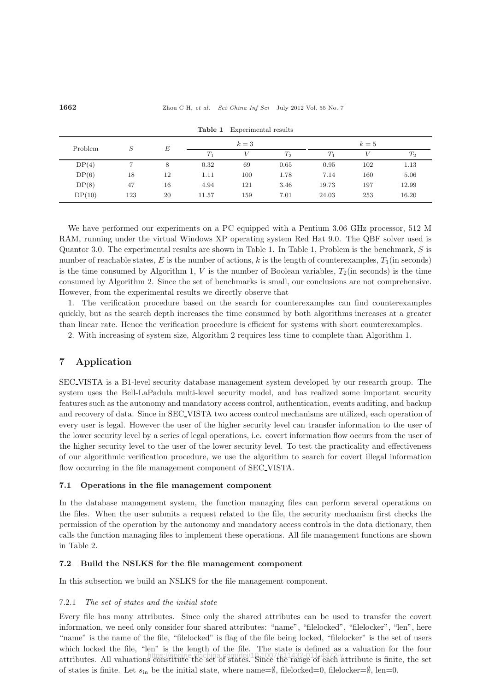| Problem | S   |    | $k=3$   |     |       | $k=5$ |     |       |
|---------|-----|----|---------|-----|-------|-------|-----|-------|
|         |     |    | $T_{1}$ |     | $T_2$ | Tı    |     | $T_2$ |
| DP(4)   | ∽   | 8  | 0.32    | 69  | 0.65  | 0.95  | 102 | 1.13  |
| DP(6)   | 18  | 12 | 1.11    | 100 | 1.78  | 7.14  | 160 | 5.06  |
| DP(8)   | 47  | 16 | 4.94    | 121 | 3.46  | 19.73 | 197 | 12.99 |
| DP(10)  | 123 | 20 | 11.57   | 159 | 7.01  | 24.03 | 253 | 16.20 |

**Table 1** Experimental results

We have performed our experiments on a PC equipped with a Pentium 3.06 GHz processor, 512 M RAM, running under the virtual Windows XP operating system Red Hat 9.0. The QBF solver used is Quantor 3.0. The experimental results are shown in Table 1. In Table 1, Problem is the benchmark, S is number of reachable states, E is the number of actions, k is the length of counterexamples,  $T_1$ (in seconds) is the time consumed by Algorithm 1, V is the number of Boolean variables,  $T_2$ (in seconds) is the time consumed by Algorithm 2. Since the set of benchmarks is small, our conclusions are not comprehensive. However, from the experimental results we directly observe that

1. The verification procedure based on the search for counterexamples can find counterexamples quickly, but as the search depth increases the time consumed by both algorithms increases at a greater than linear rate. Hence the verification procedure is efficient for systems with short counterexamples.

2. With increasing of system size, Algorithm 2 requires less time to complete than Algorithm 1.

#### **7 Application**

SEC VISTA is a B1-level security database management system developed by our research group. The system uses the Bell-LaPadula multi-level security model, and has realized some important security features such as the autonomy and mandatory access control, authentication, events auditing, and backup and recovery of data. Since in SEC VISTA two access control mechanisms are utilized, each operation of every user is legal. However the user of the higher security level can transfer information to the user of the lower security level by a series of legal operations, i.e. covert information flow occurs from the user of the higher security level to the user of the lower security level. To test the practicality and effectiveness of our algorithmic verification procedure, we use the algorithm to search for covert illegal information flow occurring in the file management component of SEC\_VISTA.

#### **7.1 Operations in the file management component**

In the database management system, the function managing files can perform several operations on the files. When the user submits a request related to the file, the security mechanism first checks the permission of the operation by the autonomy and mandatory access controls in the data dictionary, then calls the function managing files to implement these operations. All file management functions are shown in Table 2.

#### **7.2 Build the NSLKS for the file management component**

In this subsection we build an NSLKS for the file management component.

#### 7.2.1 *The set of states and the initial state*

Every file has many attributes. Since only the shared attributes can be used to transfer the covert information, we need only consider four shared attributes: "name", "filelocked", "filelocker", "len", here "name" is the name of the file, "filelocked" is flag of the file being locked, "filelocker" is the set of users which locked the file, "len" is the length of the file. The state is defined as a valuation for the four attributes. All valuations constitute the set of states. Since the range of each attribute is finite, the set of states. of states is finite. Let  $s_{\text{in}}$  be the initial state, where name= $\emptyset$ , filelocked=0, filelocker= $\emptyset$ , len=0.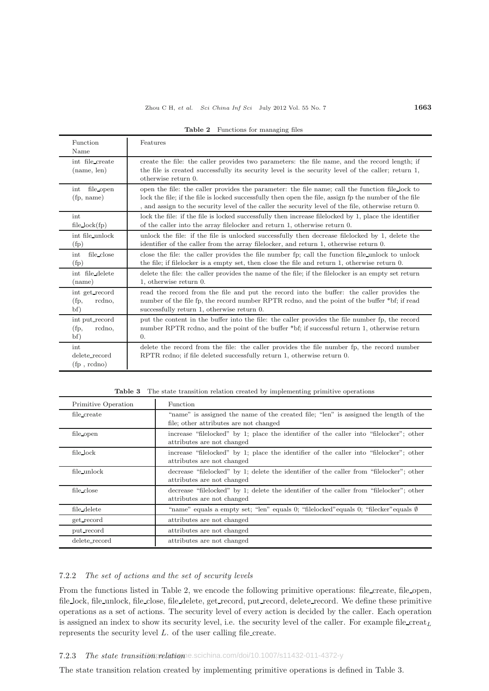| Table 2 |  |  | Functions for managing files |
|---------|--|--|------------------------------|
|---------|--|--|------------------------------|

| Function<br>Name                        | Features                                                                                                                                                                                                                                                                                                          |
|-----------------------------------------|-------------------------------------------------------------------------------------------------------------------------------------------------------------------------------------------------------------------------------------------------------------------------------------------------------------------|
| int file_create<br>(name, len)          | create the file: the caller provides two parameters: the file name, and the record length; if<br>the file is created successfully its security level is the security level of the caller; return 1,<br>otherwise return 0.                                                                                        |
| file_open<br>int<br>(fp, name)          | open the file: the caller provides the parameter: the file name; call the function file lock to<br>lock the file; if the file is locked successfully then open the file, assign fp the number of the file<br>, and assign to the security level of the caller the security level of the file, otherwise return 0. |
| int<br>file $lock(fp)$                  | lock the file: if the file is locked successfully then increase filelocked by 1, place the identifier<br>of the caller into the array filelocker and return 1, otherwise return 0.                                                                                                                                |
| int file unlock<br>(f <sub>p</sub> )    | unlock the file: if the file is unlocked successfully then decrease filelocked by 1, delete the<br>identifier of the caller from the array filelocker, and return 1, otherwise return 0.                                                                                                                          |
| file_close<br>int<br>(fp)               | close the file: the caller provides the file number fp; call the function file unlock to unlock<br>the file; if filelocker is a empty set, then close the file and return 1, otherwise return 0.                                                                                                                  |
| int file_delete<br>(name)               | delete the file: the caller provides the name of the file; if the filelocker is an empty set return<br>1, otherwise return 0.                                                                                                                                                                                     |
| int get record<br>(fp,<br>rcdno,<br>bf) | read the record from the file and put the record into the buffer: the caller provides the<br>number of the file fp, the record number RPTR redno, and the point of the buffer *bf; if read<br>successfully return 1, otherwise return 0.                                                                          |
| int put_record<br>(fp,<br>rcdno,<br>bf) | put the content in the buffer into the file: the caller provides the file number fp, the record<br>number RPTR redno, and the point of the buffer *bf; if successful return 1, otherwise return<br>$\theta$ .                                                                                                     |
| int<br>delete_record<br>(pp, rcdno)     | delete the record from the file: the caller provides the file number fp, the record number<br>RPTR rcdno; if file deleted successfully return 1, otherwise return 0.                                                                                                                                              |

**Table 3** The state transition relation created by implementing primitive operations

| Primitive Operation | Function                                                                                                                       |
|---------------------|--------------------------------------------------------------------------------------------------------------------------------|
| file_create         | "name" is assigned the name of the created file; "len" is assigned the length of the<br>file; other attributes are not changed |
| file_open           | increase "filelocked" by 1; place the identifier of the caller into "filelocker"; other<br>attributes are not changed          |
| file_lock           | increase "filelocked" by 1; place the identifier of the caller into "filelocker"; other<br>attributes are not changed          |
| file_unlock         | decrease "filelocked" by 1; delete the identifier of the caller from "filelocker"; other<br>attributes are not changed         |
| file_close          | decrease "filelocked" by 1; delete the identifier of the caller from "filelocker"; other<br>attributes are not changed         |
| file_delete         | "name" equals a empty set; "len" equals 0; "filelocked" equals 0; "filecker" equals $\emptyset$                                |
| get_record          | attributes are not changed                                                                                                     |
| put record          | attributes are not changed                                                                                                     |
| delete_record       | attributes are not changed                                                                                                     |

#### 7.2.2 *The set of actions and the set of security levels*

From the functions listed in Table 2, we encode the following primitive operations: file create, file open, file lock, file unlock, file close, file delete, get record, put record, delete record. We define these primitive operations as a set of actions. The security level of every action is decided by the caller. Each operation is assigned an index to show its security level, i.e. the security level of the caller. For example file creat*<sup>L</sup>* represents the security level L. of the user calling file create.

### 7.2.3 The state transition relation e.scichina.com/doi/10.1007/s11432-011-4372-y

The state transition relation created by implementing primitive operations is defined in Table 3.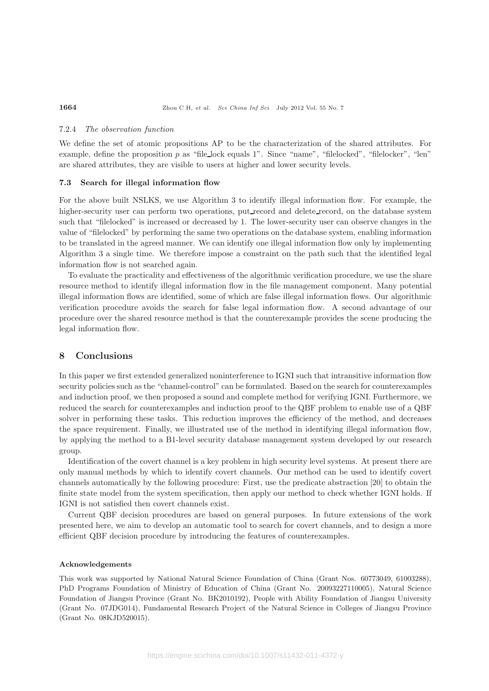#### 7.2.4 *The observation function*

We define the set of atomic propositions AP to be the characterization of the shared attributes. For example, define the proposition p as "file lock equals 1". Since "name", "filelocked", "filelocker", "len" are shared attributes, they are visible to users at higher and lower security levels.

#### **7.3 Search for illegal information flow**

For the above built NSLKS, we use Algorithm 3 to identify illegal information flow. For example, the higher-security user can perform two operations, put record and delete record, on the database system such that "filelocked" is increased or decreased by 1. The lower-security user can observe changes in the value of "filelocked" by performing the same two operations on the database system, enabling information to be translated in the agreed manner. We can identify one illegal information flow only by implementing Algorithm 3 a single time. We therefore impose a constraint on the path such that the identified legal information flow is not searched again.

To evaluate the practicality and effectiveness of the algorithmic verification procedure, we use the share resource method to identify illegal information flow in the file management component. Many potential illegal information flows are identified, some of which are false illegal information flows. Our algorithmic verification procedure avoids the search for false legal information flow. A second advantage of our procedure over the shared resource method is that the counterexample provides the scene producing the legal information flow.

#### **8 Conclusions**

In this paper we first extended generalized noninterference to IGNI such that intransitive information flow security policies such as the "channel-control" can be formulated. Based on the search for counterexamples and induction proof, we then proposed a sound and complete method for verifying IGNI. Furthermore, we reduced the search for counterexamples and induction proof to the QBF problem to enable use of a QBF solver in performing these tasks. This reduction improves the efficiency of the method, and decreases the space requirement. Finally, we illustrated use of the method in identifying illegal information flow, by applying the method to a B1-level security database management system developed by our research group.

Identification of the covert channel is a key problem in high security level systems. At present there are only manual methods by which to identify covert channels. Our method can be used to identify covert channels automatically by the following procedure: First, use the predicate abstraction [20] to obtain the finite state model from the system specification, then apply our method to check whether IGNI holds. If IGNI is not satisfied then covert channels exist.

Current QBF decision procedures are based on general purposes. In future extensions of the work presented here, we aim to develop an automatic tool to search for covert channels, and to design a more efficient QBF decision procedure by introducing the features of counterexamples.

#### **Acknowledgements**

This work was supported by National Natural Science Foundation of China (Grant Nos. 60773049, 61003288), PhD Programs Foundation of Ministry of Education of China (Grant No. 20093227110005), Natural Science Foundation of Jiangsu Province (Grant No. BK2010192), People with Ability Foundation of Jiangsu University (Grant No. 07JDG014), Fundamental Research Project of the Natural Science in Colleges of Jiangsu Province (Grant No. 08KJD520015).